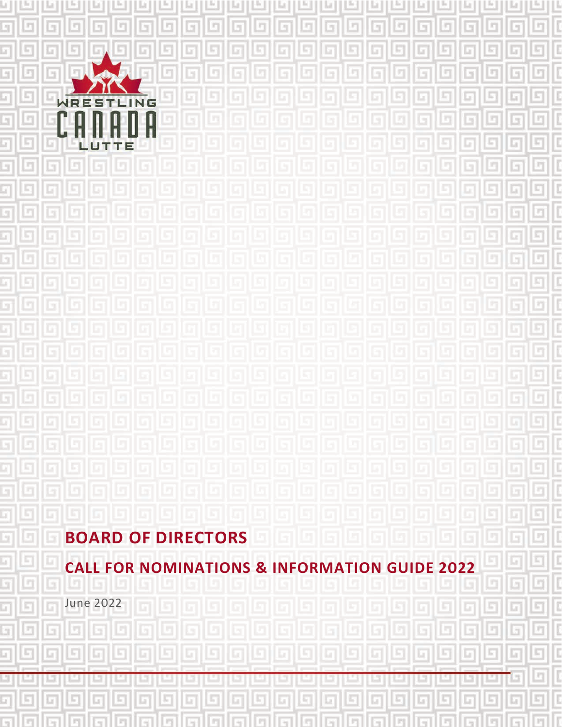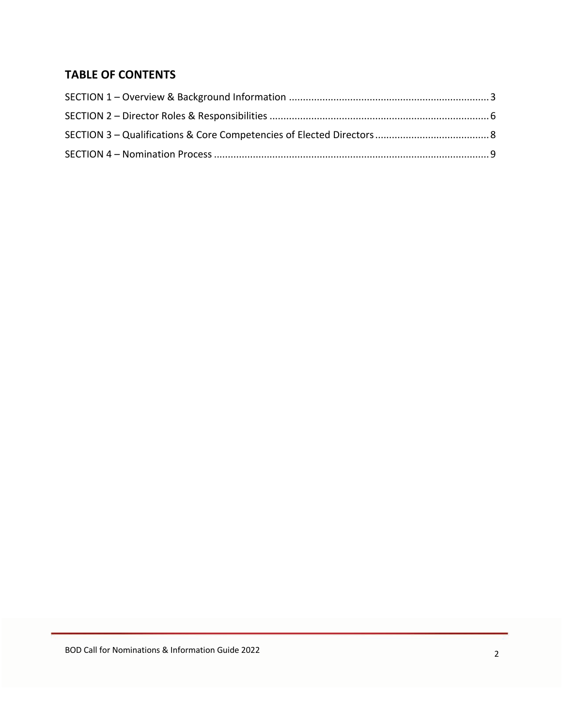# **TABLE OF CONTENTS**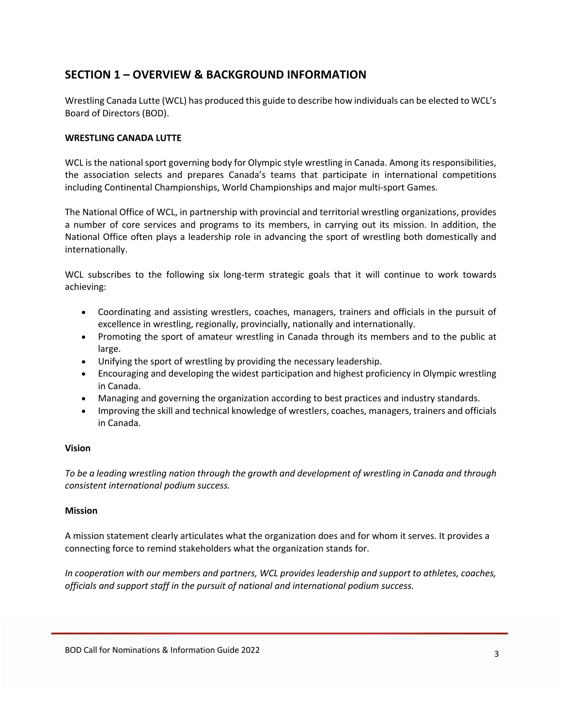## **SECTION 1 – OVERVIEW & BACKGROUND INFORMATION**

Wrestling Canada Lutte (WCL) has produced this guide to describe how individuals can be elected to WCL's Board of Directors (BOD).

### **WRESTLING CANADA LUTTE**

WCL is the national sport governing body for Olympic style wrestling in Canada. Among its responsibilities, the association selects and prepares Canada's teams that participate in international competitions including Continental Championships, World Championships and major multi-sport Games.

The National Office of WCL, in partnership with provincial and territorial wrestling organizations, provides a number of core services and programs to its members, in carrying out its mission. In addition, the National Office often plays a leadership role in advancing the sport of wrestling both domestically and internationally.

WCL subscribes to the following six long-term strategic goals that it will continue to work towards achieving:

- Coordinating and assisting wrestlers, coaches, managers, trainers and officials in the pursuit of excellence in wrestling, regionally, provincially, nationally and internationally.
- Promoting the sport of amateur wrestling in Canada through its members and to the public at large.
- Unifying the sport of wrestling by providing the necessary leadership.
- Encouraging and developing the widest participation and highest proficiency in Olympic wrestling in Canada.
- Managing and governing the organization according to best practices and industry standards.
- Improving the skill and technical knowledge of wrestlers, coaches, managers, trainers and officials in Canada.

### **Vision**

*To be a leading wrestling nation through the growth and development of wrestling in Canada and through consistent international podium success.*

### **Mission**

A mission statement clearly articulates what the organization does and for whom it serves. It provides a connecting force to remind stakeholders what the organization stands for.

*In cooperation with our members and partners, WCL provides leadership and support to athletes, coaches, officials and support staff in the pursuit of national and international podium success.*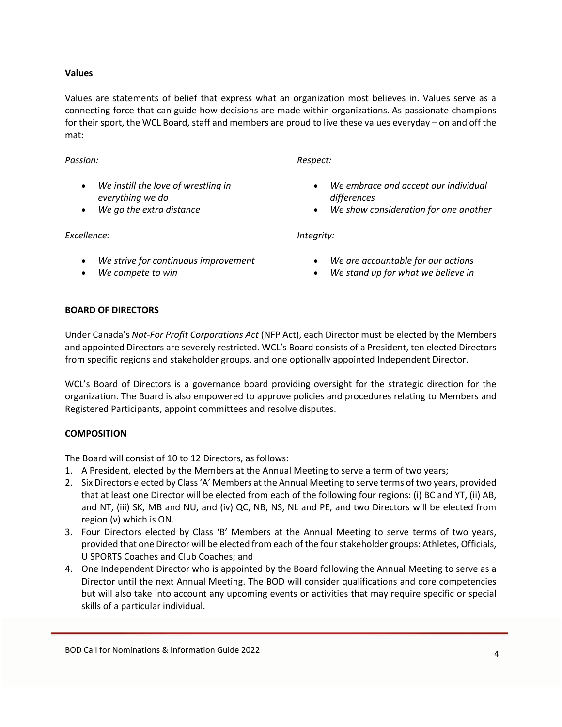### **Values**

Values are statements of belief that express what an organization most believes in. Values serve as a connecting force that can guide how decisions are made within organizations. As passionate champions for their sport, the WCL Board, staff and members are proud to live these values everyday – on and off the mat:

#### *Passion:*

- *We instill the love of wrestling in everything we do*
- *We go the extra distance*

*Excellence:*

- *We strive for continuous improvement*
- *We compete to win*

*Respect:*

- *We embrace and accept our individual differences*
- *We show consideration for one another*

*Integrity:*

- *We are accountable for our actions*
- *We stand up for what we believe in*

#### **BOARD OF DIRECTORS**

Under Canada's *Not-For Profit Corporations Act* (NFP Act), each Director must be elected by the Members and appointed Directors are severely restricted. WCL's Board consists of a President, ten elected Directors from specific regions and stakeholder groups, and one optionally appointed Independent Director.

WCL's Board of Directors is a governance board providing oversight for the strategic direction for the organization. The Board is also empowered to approve policies and procedures relating to Members and Registered Participants, appoint committees and resolve disputes.

### **COMPOSITION**

The Board will consist of 10 to 12 Directors, as follows:

- 1. A President, elected by the Members at the Annual Meeting to serve a term of two years;
- 2. Six Directors elected by Class 'A' Members at the Annual Meeting to serve terms of two years, provided that at least one Director will be elected from each of the following four regions: (i) BC and YT, (ii) AB, and NT, (iii) SK, MB and NU, and (iv) QC, NB, NS, NL and PE, and two Directors will be elected from region (v) which is ON.
- 3. Four Directors elected by Class 'B' Members at the Annual Meeting to serve terms of two years, provided that one Director will be elected from each of the four stakeholder groups: Athletes, Officials, U SPORTS Coaches and Club Coaches; and
- 4. One Independent Director who is appointed by the Board following the Annual Meeting to serve as a Director until the next Annual Meeting. The BOD will consider qualifications and core competencies but will also take into account any upcoming events or activities that may require specific or special skills of a particular individual.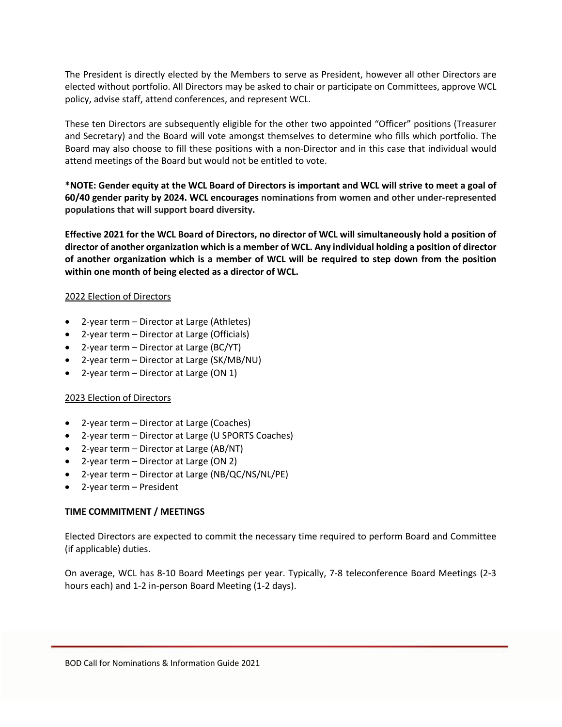The President is directly elected by the Members to serve as President, however all other Directors are elected without portfolio. All Directors may be asked to chair or participate on Committees, approve WCL policy, advise staff, attend conferences, and represent WCL.

These ten Directors are subsequently eligible for the other two appointed "Officer" positions (Treasurer and Secretary) and the Board will vote amongst themselves to determine who fills which portfolio. The Board may also choose to fill these positions with a non-Director and in this case that individual would attend meetings of the Board but would not be entitled to vote.

**\*NOTE: Gender equity at the WCL Board of Directors is important and WCL will strive to meet a goal of 60/40 gender parity by 2024. WCL encourages nominations from women and other under-represented populations that will support board diversity.**

**Effective 2021 for the WCL Board of Directors, no director of WCL will simultaneously hold a position of director of another organization which is a member of WCL. Any individual holding a position of director of another organization which is a member of WCL will be required to step down from the position within one month of being elected as a director of WCL.**

### 2022 Election of Directors

- 2-year term Director at Large (Athletes)
- 2-year term Director at Large (Officials)
- 2-year term Director at Large (BC/YT)
- 2-year term Director at Large (SK/MB/NU)
- 2-year term Director at Large (ON 1)

### 2023 Election of Directors

- 2-year term Director at Large (Coaches)
- 2-year term Director at Large (U SPORTS Coaches)
- 2-year term Director at Large (AB/NT)
- 2-year term Director at Large (ON 2)
- 2-year term Director at Large (NB/QC/NS/NL/PE)
- 2-year term President

### **TIME COMMITMENT / MEETINGS**

Elected Directors are expected to commit the necessary time required to perform Board and Committee (if applicable) duties.

On average, WCL has 8-10 Board Meetings per year. Typically, 7-8 teleconference Board Meetings (2-3 hours each) and 1-2 in-person Board Meeting (1-2 days).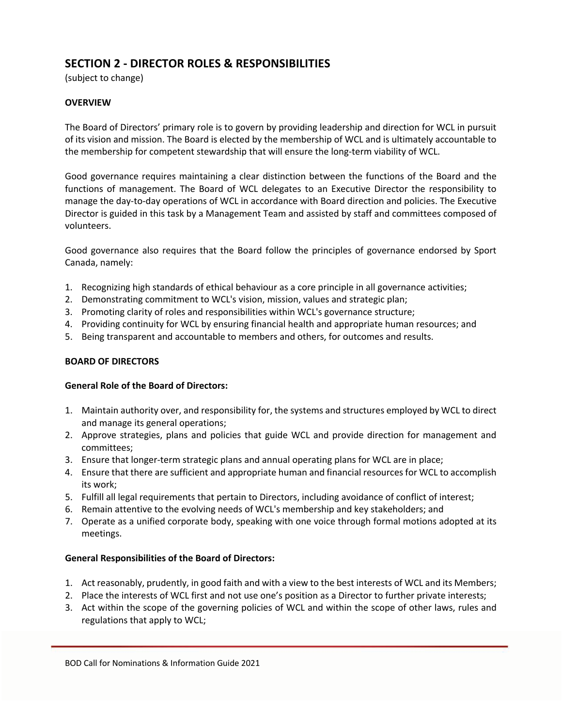## **SECTION 2 - DIRECTOR ROLES & RESPONSIBILITIES**

(subject to change)

## **OVERVIEW**

The Board of Directors' primary role is to govern by providing leadership and direction for WCL in pursuit of its vision and mission. The Board is elected by the membership of WCL and is ultimately accountable to the membership for competent stewardship that will ensure the long-term viability of WCL.

Good governance requires maintaining a clear distinction between the functions of the Board and the functions of management. The Board of WCL delegates to an Executive Director the responsibility to manage the day-to-day operations of WCL in accordance with Board direction and policies. The Executive Director is guided in this task by a Management Team and assisted by staff and committees composed of volunteers.

Good governance also requires that the Board follow the principles of governance endorsed by Sport Canada, namely:

- 1. Recognizing high standards of ethical behaviour as a core principle in all governance activities;
- 2. Demonstrating commitment to WCL's vision, mission, values and strategic plan;
- 3. Promoting clarity of roles and responsibilities within WCL's governance structure;
- 4. Providing continuity for WCL by ensuring financial health and appropriate human resources; and
- 5. Being transparent and accountable to members and others, for outcomes and results.

### **BOARD OF DIRECTORS**

### **General Role of the Board of Directors:**

- 1. Maintain authority over, and responsibility for, the systems and structures employed by WCL to direct and manage its general operations;
- 2. Approve strategies, plans and policies that guide WCL and provide direction for management and committees;
- 3. Ensure that longer-term strategic plans and annual operating plans for WCL are in place;
- 4. Ensure that there are sufficient and appropriate human and financial resources for WCL to accomplish its work;
- 5. Fulfill all legal requirements that pertain to Directors, including avoidance of conflict of interest;
- 6. Remain attentive to the evolving needs of WCL's membership and key stakeholders; and
- 7. Operate as a unified corporate body, speaking with one voice through formal motions adopted at its meetings.

### **General Responsibilities of the Board of Directors:**

- 1. Act reasonably, prudently, in good faith and with a view to the best interests of WCL and its Members;
- 2. Place the interests of WCL first and not use one's position as a Director to further private interests;
- 3. Act within the scope of the governing policies of WCL and within the scope of other laws, rules and regulations that apply to WCL;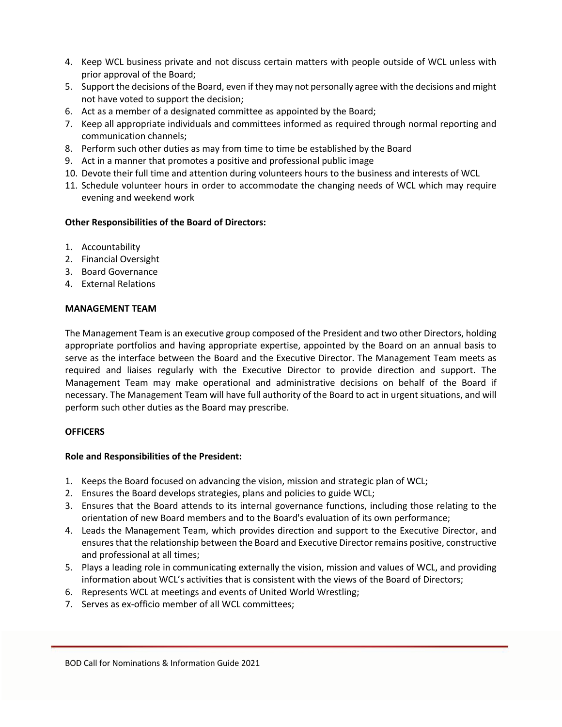- 4. Keep WCL business private and not discuss certain matters with people outside of WCL unless with prior approval of the Board;
- 5. Support the decisions of the Board, even if they may not personally agree with the decisions and might not have voted to support the decision;
- 6. Act as a member of a designated committee as appointed by the Board;
- 7. Keep all appropriate individuals and committees informed as required through normal reporting and communication channels;
- 8. Perform such other duties as may from time to time be established by the Board
- 9. Act in a manner that promotes a positive and professional public image
- 10. Devote their full time and attention during volunteers hours to the business and interests of WCL
- 11. Schedule volunteer hours in order to accommodate the changing needs of WCL which may require evening and weekend work

### **Other Responsibilities of the Board of Directors:**

- 1. Accountability
- 2. Financial Oversight
- 3. Board Governance
- 4. External Relations

#### **MANAGEMENT TEAM**

The Management Team is an executive group composed of the President and two other Directors, holding appropriate portfolios and having appropriate expertise, appointed by the Board on an annual basis to serve as the interface between the Board and the Executive Director. The Management Team meets as required and liaises regularly with the Executive Director to provide direction and support. The Management Team may make operational and administrative decisions on behalf of the Board if necessary. The Management Team will have full authority of the Board to act in urgent situations, and will perform such other duties as the Board may prescribe.

### **OFFICERS**

### **Role and Responsibilities of the President:**

- 1. Keeps the Board focused on advancing the vision, mission and strategic plan of WCL;
- 2. Ensures the Board develops strategies, plans and policies to guide WCL;
- 3. Ensures that the Board attends to its internal governance functions, including those relating to the orientation of new Board members and to the Board's evaluation of its own performance;
- 4. Leads the Management Team, which provides direction and support to the Executive Director, and ensures that the relationship between the Board and Executive Director remains positive, constructive and professional at all times;
- 5. Plays a leading role in communicating externally the vision, mission and values of WCL, and providing information about WCL's activities that is consistent with the views of the Board of Directors;
- 6. Represents WCL at meetings and events of United World Wrestling;
- 7. Serves as ex-officio member of all WCL committees;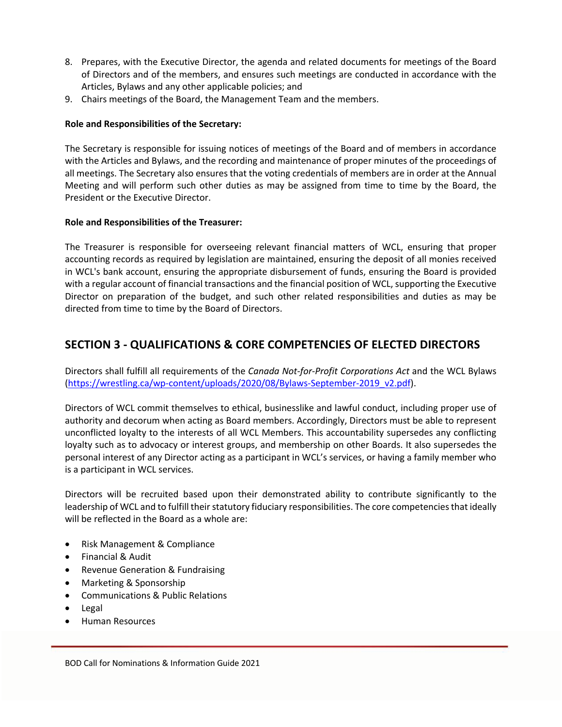- 8. Prepares, with the Executive Director, the agenda and related documents for meetings of the Board of Directors and of the members, and ensures such meetings are conducted in accordance with the Articles, Bylaws and any other applicable policies; and
- 9. Chairs meetings of the Board, the Management Team and the members.

### **Role and Responsibilities of the Secretary:**

The Secretary is responsible for issuing notices of meetings of the Board and of members in accordance with the Articles and Bylaws, and the recording and maintenance of proper minutes of the proceedings of all meetings. The Secretary also ensures that the voting credentials of members are in order at the Annual Meeting and will perform such other duties as may be assigned from time to time by the Board, the President or the Executive Director.

### **Role and Responsibilities of the Treasurer:**

The Treasurer is responsible for overseeing relevant financial matters of WCL, ensuring that proper accounting records as required by legislation are maintained, ensuring the deposit of all monies received in WCL's bank account, ensuring the appropriate disbursement of funds, ensuring the Board is provided with a regular account of financial transactions and the financial position of WCL, supporting the Executive Director on preparation of the budget, and such other related responsibilities and duties as may be directed from time to time by the Board of Directors.

## **SECTION 3 - QUALIFICATIONS & CORE COMPETENCIES OF ELECTED DIRECTORS**

Directors shall fulfill all requirements of the *Canada Not-for-Profit Corporations Act* and the WCL Bylaws (https://wrestling.ca/wp-content/uploads/2020/08/Bylaws-September-2019\_v2.pdf).

Directors of WCL commit themselves to ethical, businesslike and lawful conduct, including proper use of authority and decorum when acting as Board members. Accordingly, Directors must be able to represent unconflicted loyalty to the interests of all WCL Members. This accountability supersedes any conflicting loyalty such as to advocacy or interest groups, and membership on other Boards. It also supersedes the personal interest of any Director acting as a participant in WCL's services, or having a family member who is a participant in WCL services.

Directors will be recruited based upon their demonstrated ability to contribute significantly to the leadership of WCL and to fulfill their statutory fiduciary responsibilities. The core competencies that ideally will be reflected in the Board as a whole are:

- Risk Management & Compliance
- Financial & Audit
- Revenue Generation & Fundraising
- Marketing & Sponsorship
- Communications & Public Relations
- Legal
- Human Resources